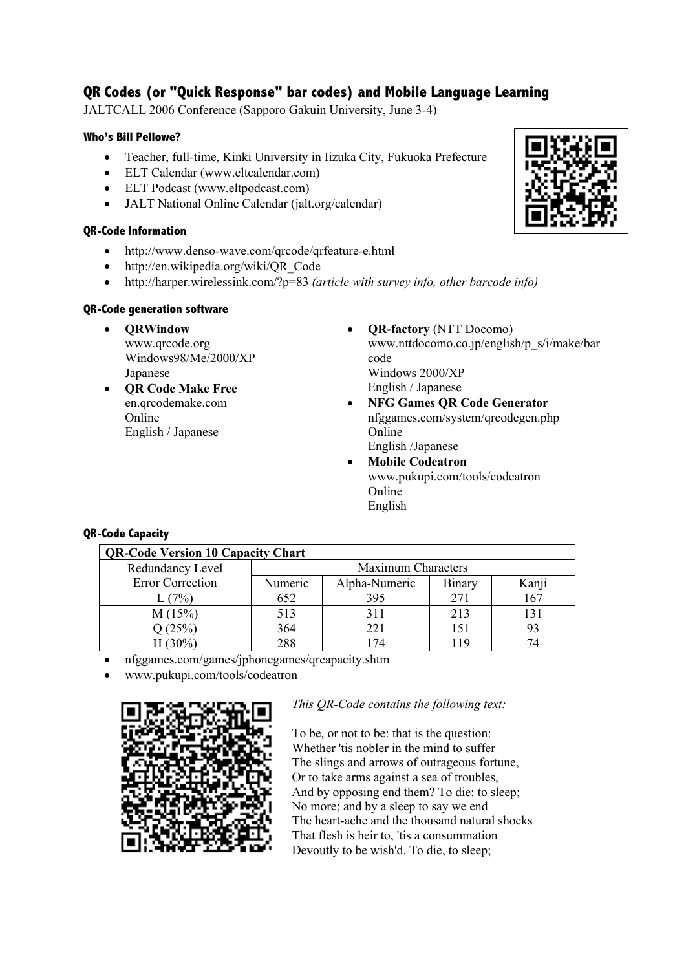# **QR Codes (or "Quick Response" bar codes) and Mobile Language Learning**

JALTCALL 2006 Conference (Sapporo Gakuin University, June 3-4)

### **Who's Bill Pellowe?**

- Teacher, full-time, Kinki University in Iizuka City, Fukuoka Prefecture
- ELT Calendar (www.eltcalendar.com)
- ELT Podcast (www.eltpodcast.com)
- JALT National Online Calendar (jalt.org/calendar)

### **QR-Code Information**

- http://www.denso-wave.com/qrcode/qrfeature-e.html
- http://en.wikipedia.org/wiki/QR\_Code
- http://harper.wirelessink.com/?p=83 *(article with survey info, other barcode info)*

## **QR-Code generation software**

- **QRWindow** www.qrcode.org Windows98/Me/2000/XP Japanese
- **QR Code Make Free** en.qrcodemake.com Online English / Japanese
- **QR-factory** (NTT Docomo) www.nttdocomo.co.jp/english/p\_s/i/make/bar code Windows 2000/XP English / Japanese
- **NFG Games QR Code Generator** nfggames.com/system/qrcodegen.php Online English /Japanese
- **Mobile Codeatron** www.pukupi.com/tools/codeatron Online English

# **QR-Code Capacity**

| <b>QR-Code Version 10 Capacity Chart</b> |                    |               |        |       |
|------------------------------------------|--------------------|---------------|--------|-------|
| Redundancy Level                         | Maximum Characters |               |        |       |
| <b>Error Correction</b>                  | Numeric            | Alpha-Numeric | Binary | Kanji |
| L(7%)                                    | 652                | 395           | 271    | 167   |
| M(15%)                                   | 513                | 311           | 213    | l31   |
| 2(25%)                                   | 364                |               | 151    | 93    |
| $(30\%)$                                 | 288                | 74            | 119    | 74    |

• nfggames.com/games/jphonegames/qrcapacity.shtm

• www.pukupi.com/tools/codeatron



# *This QR-Code contains the following text:*

To be, or not to be: that is the question: Whether 'tis nobler in the mind to suffer The slings and arrows of outrageous fortune, Or to take arms against a sea of troubles, And by opposing end them? To die: to sleep; No more; and by a sleep to say we end The heart-ache and the thousand natural shocks That flesh is heir to, 'tis a consummation Devoutly to be wish'd. To die, to sleep;